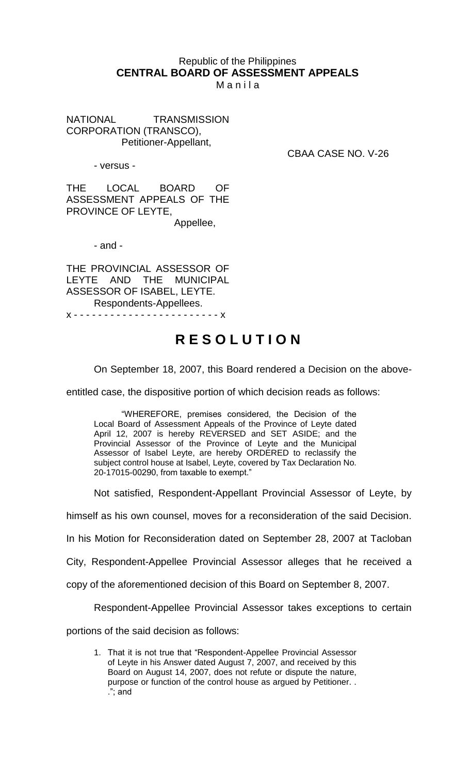## Republic of the Philippines **CENTRAL BOARD OF ASSESSMENT APPEALS**

M a n i l a

NATIONAL TRANSMISSION CORPORATION (TRANSCO), Petitioner-Appellant,

- versus -

CBAA CASE NO. V-26

THE LOCAL BOARD OF ASSESSMENT APPEALS OF THE PROVINCE OF LEYTE,

Appellee,

- and -

THE PROVINCIAL ASSESSOR OF<br>LEYTE AND THE MUNICIPAL LEYTE AND THE MUNICIPAL ASSESSOR OF ISABEL, LEYTE. Respondents-Appellees. x - - - - - - - - - - - - - - - - - - - - - - - - x

## **R E S O L U T I O N**

On September 18, 2007, this Board rendered a Decision on the above-

entitled case, the dispositive portion of which decision reads as follows:

"WHEREFORE, premises considered, the Decision of the Local Board of Assessment Appeals of the Province of Leyte dated April 12, 2007 is hereby REVERSED and SET ASIDE; and the Provincial Assessor of the Province of Leyte and the Municipal Assessor of Isabel Leyte, are hereby ORDERED to reclassify the subject control house at Isabel, Leyte, covered by Tax Declaration No. 20-17015-00290, from taxable to exempt."

Not satisfied, Respondent-Appellant Provincial Assessor of Leyte, by

himself as his own counsel, moves for a reconsideration of the said Decision.

In his Motion for Reconsideration dated on September 28, 2007 at Tacloban

City, Respondent-Appellee Provincial Assessor alleges that he received a

copy of the aforementioned decision of this Board on September 8, 2007.

Respondent-Appellee Provincial Assessor takes exceptions to certain

portions of the said decision as follows:

1. That it is not true that "Respondent-Appellee Provincial Assessor of Leyte in his Answer dated August 7, 2007, and received by this Board on August 14, 2007, does not refute or dispute the nature, purpose or function of the control house as argued by Petitioner. . ."; and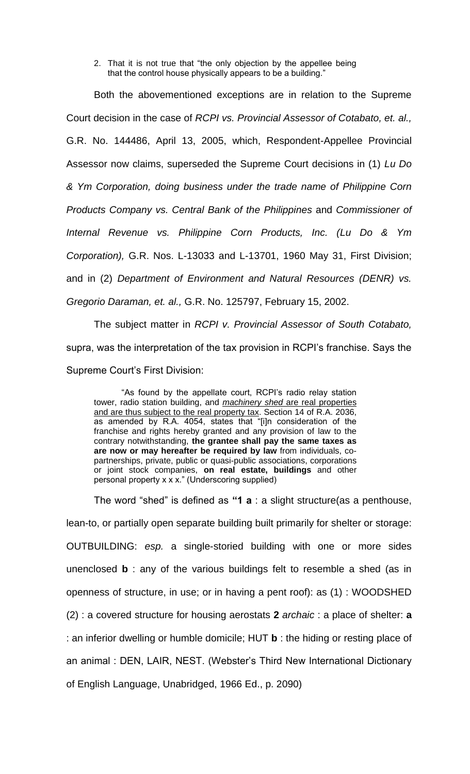2. That it is not true that "the only objection by the appellee being that the control house physically appears to be a building."

Both the abovementioned exceptions are in relation to the Supreme Court decision in the case of *RCPI vs. Provincial Assessor of Cotabato, et. al.,*  G.R. No. 144486, April 13, 2005, which, Respondent-Appellee Provincial Assessor now claims, superseded the Supreme Court decisions in (1) *Lu Do & Ym Corporation, doing business under the trade name of Philippine Corn Products Company vs. Central Bank of the Philippines* and *Commissioner of Internal Revenue vs. Philippine Corn Products, Inc. (Lu Do & Ym Corporation),* G.R. Nos. L-13033 and L-13701, 1960 May 31, First Division; and in (2) *Department of Environment and Natural Resources (DENR) vs. Gregorio Daraman, et. al.,* G.R. No. 125797, February 15, 2002.

The subject matter in *RCPI v. Provincial Assessor of South Cotabato,*  supra, was the interpretation of the tax provision in RCPI's franchise. Says the Supreme Court's First Division:

"As found by the appellate court, RCPI's radio relay station tower, radio station building, and *machinery shed* are real properties and are thus subject to the real property tax. Section 14 of R.A. 2036, as amended by R.A. 4054, states that "[i]n consideration of the franchise and rights hereby granted and any provision of law to the contrary notwithstanding, **the grantee shall pay the same taxes as are now or may hereafter be required by law** from individuals, copartnerships, private, public or quasi-public associations, corporations or joint stock companies, **on real estate, buildings** and other personal property x x x." (Underscoring supplied)

The word "shed" is defined as **"1 a** : a slight structure(as a penthouse, lean-to, or partially open separate building built primarily for shelter or storage: OUTBUILDING: *esp.* a single-storied building with one or more sides unenclosed **b** : any of the various buildings felt to resemble a shed (as in openness of structure, in use; or in having a pent roof): as (1) : WOODSHED (2) : a covered structure for housing aerostats **2** *archaic* : a place of shelter: **a**  : an inferior dwelling or humble domicile; HUT **b** : the hiding or resting place of an animal : DEN, LAIR, NEST. (Webster's Third New International Dictionary of English Language, Unabridged, 1966 Ed., p. 2090)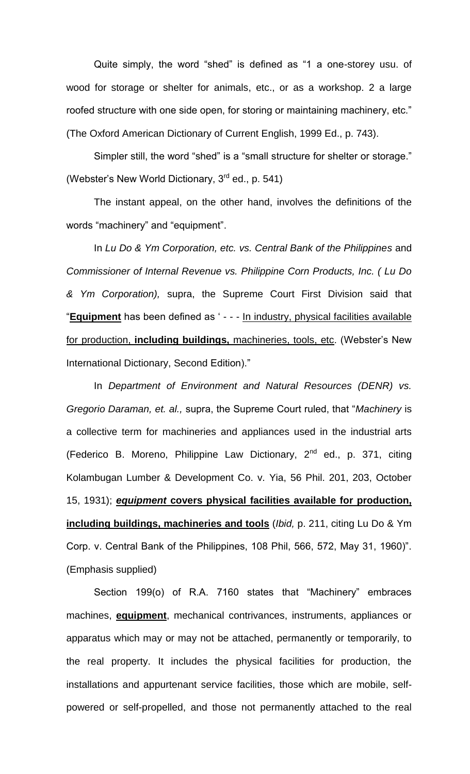Quite simply, the word "shed" is defined as "1 a one-storey usu. of wood for storage or shelter for animals, etc., or as a workshop. 2 a large roofed structure with one side open, for storing or maintaining machinery, etc." (The Oxford American Dictionary of Current English, 1999 Ed., p. 743).

Simpler still, the word "shed" is a "small structure for shelter or storage." (Webster's New World Dictionary,  $3<sup>rd</sup>$  ed., p. 541)

The instant appeal, on the other hand, involves the definitions of the words "machinery" and "equipment".

In *Lu Do & Ym Corporation, etc. vs. Central Bank of the Philippines* and *Commissioner of Internal Revenue vs. Philippine Corn Products, Inc. ( Lu Do & Ym Corporation),* supra, the Supreme Court First Division said that "**Equipment** has been defined as ' - - - In industry, physical facilities available for production, **including buildings,** machineries, tools, etc. (Webster's New International Dictionary, Second Edition)."

In *Department of Environment and Natural Resources (DENR) vs. Gregorio Daraman, et. al.,* supra, the Supreme Court ruled, that "*Machinery* is a collective term for machineries and appliances used in the industrial arts (Federico B. Moreno, Philippine Law Dictionary,  $2^{nd}$  ed., p. 371, citing Kolambugan Lumber & Development Co. v. Yia, 56 Phil. 201, 203, October 15, 1931); *equipment* **covers physical facilities available for production, including buildings, machineries and tools** (*Ibid,* p. 211, citing Lu Do & Ym Corp. v. Central Bank of the Philippines, 108 Phil, 566, 572, May 31, 1960)". (Emphasis supplied)

Section 199(o) of R.A. 7160 states that "Machinery" embraces machines, **equipment**, mechanical contrivances, instruments, appliances or apparatus which may or may not be attached, permanently or temporarily, to the real property. It includes the physical facilities for production, the installations and appurtenant service facilities, those which are mobile, selfpowered or self-propelled, and those not permanently attached to the real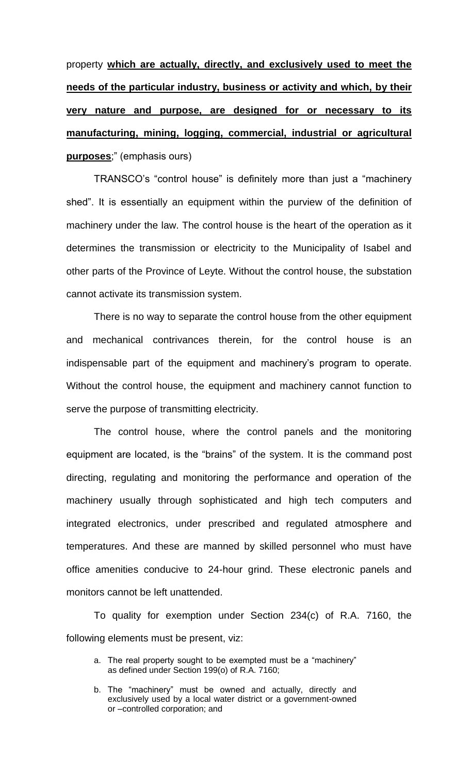property **which are actually, directly, and exclusively used to meet the needs of the particular industry, business or activity and which, by their very nature and purpose, are designed for or necessary to its manufacturing, mining, logging, commercial, industrial or agricultural purposes**;" (emphasis ours)

TRANSCO's "control house" is definitely more than just a "machinery shed". It is essentially an equipment within the purview of the definition of machinery under the law. The control house is the heart of the operation as it determines the transmission or electricity to the Municipality of Isabel and other parts of the Province of Leyte. Without the control house, the substation cannot activate its transmission system.

There is no way to separate the control house from the other equipment and mechanical contrivances therein, for the control house is an indispensable part of the equipment and machinery's program to operate. Without the control house, the equipment and machinery cannot function to serve the purpose of transmitting electricity.

The control house, where the control panels and the monitoring equipment are located, is the "brains" of the system. It is the command post directing, regulating and monitoring the performance and operation of the machinery usually through sophisticated and high tech computers and integrated electronics, under prescribed and regulated atmosphere and temperatures. And these are manned by skilled personnel who must have office amenities conducive to 24-hour grind. These electronic panels and monitors cannot be left unattended.

To quality for exemption under Section 234(c) of R.A. 7160, the following elements must be present, viz:

a. The real property sought to be exempted must be a "machinery" as defined under Section 199(o) of R.A. 7160;

b. The "machinery" must be owned and actually, directly and exclusively used by a local water district or a government-owned or –controlled corporation; and